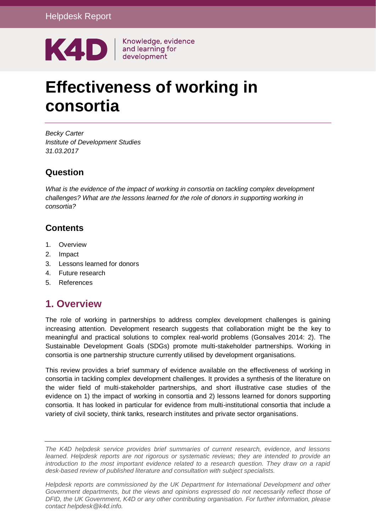

Knowledge, evidence

# **Effectiveness of working in consortia**

*Becky Carter Institute of Development Studies 31.03.2017*

### **Question**

*What is the evidence of the impact of working in consortia on tackling complex development challenges? What are the lessons learned for the role of donors in supporting working in consortia?*

### **Contents**

- 1. [Overview](#page-0-0)
- 2. [Impact](#page-3-0)
- 3. [Lessons learned for donors](#page-7-0)
- 4. [Future research](#page-13-0)
- <span id="page-0-0"></span>5. [References](#page-14-0)

# **1. Overview**

The role of working in partnerships to address complex development challenges is gaining increasing attention. Development research suggests that collaboration might be the key to meaningful and practical solutions to complex real-world problems (Gonsalves 2014: 2). The Sustainable Development Goals (SDGs) promote multi-stakeholder partnerships. Working in consortia is one partnership structure currently utilised by development organisations.

This review provides a brief summary of evidence available on the effectiveness of working in consortia in tackling complex development challenges. It provides a synthesis of the literature on the wider field of multi-stakeholder partnerships, and short illustrative case studies of the evidence on 1) the impact of working in consortia and 2) lessons learned for donors supporting consortia. It has looked in particular for evidence from multi-institutional consortia that include a variety of civil society, think tanks, research institutes and private sector organisations.

*The K4D helpdesk service provides brief summaries of current research, evidence, and lessons learned. Helpdesk reports are not rigorous or systematic reviews; they are intended to provide an introduction to the most important evidence related to a research question. They draw on a rapid desk-based review of published literature and consultation with subject specialists.* 

*Helpdesk reports are commissioned by the UK Department for International Development and other*  Government departments, but the views and opinions expressed do not necessarily reflect those of *DFID, the UK Government, K4D or any other contributing organisation. For further information, please contact helpdesk@k4d.info.*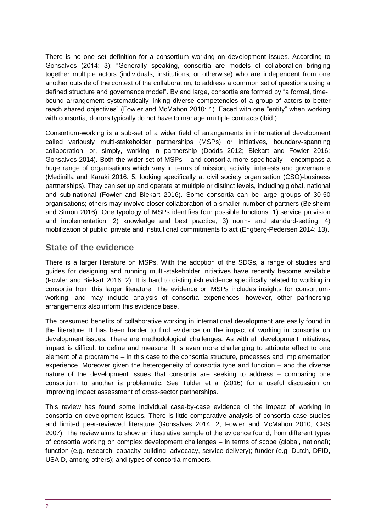There is no one set definition for a consortium working on development issues. According to Gonsalves (2014: 3): "Generally speaking, consortia are models of collaboration bringing together multiple actors (individuals, institutions, or otherwise) who are independent from one another outside of the context of the collaboration, to address a common set of questions using a defined structure and governance model". By and large, consortia are formed by "a formal, time‐ bound arrangement systematically linking diverse competencies of a group of actors to better reach shared objectives" (Fowler and McMahon 2010: 1). Faced with one "entity" when working with consortia, donors typically do not have to manage multiple contracts (ibid.).

Consortium-working is a sub-set of a wider field of arrangements in international development called variously multi-stakeholder partnerships (MSPs) or initiatives, boundary-spanning collaboration, or, simply, working in partnership (Dodds 2012; Biekart and Fowler 2016; Gonsalves 2014). Both the wider set of MSPs – and consortia more specifically – encompass a huge range of organisations which vary in terms of mission, activity, interests and governance (Medinilla and Karaki 2016: 5, looking specifically at civil society organisation (CSO)-business partnerships). They can set up and operate at multiple or distinct levels, including global, national and sub-national (Fowler and Biekart 2016). Some consortia can be large groups of 30-50 organisations; others may involve closer collaboration of a smaller number of partners (Beisheim and Simon 2016). One typology of MSPs identifies four possible functions: 1) service provision and implementation; 2) knowledge and best practice; 3) norm- and standard-setting; 4) mobilization of public, private and institutional commitments to act (Engberg-Pedersen 2014: 13).

### **State of the evidence**

There is a larger literature on MSPs. With the adoption of the SDGs, a range of studies and guides for designing and running multi-stakeholder initiatives have recently become available (Fowler and Biekart 2016: 2). It is hard to distinguish evidence specifically related to working in consortia from this larger literature. The evidence on MSPs includes insights for consortiumworking, and may include analysis of consortia experiences; however, other partnership arrangements also inform this evidence base.

The presumed benefits of collaborative working in international development are easily found in the literature. It has been harder to find evidence on the impact of working in consortia on development issues. There are methodological challenges. As with all development initiatives, impact is difficult to define and measure. It is even more challenging to attribute effect to one element of a programme – in this case to the consortia structure, processes and implementation experience. Moreover given the heterogeneity of consortia type and function – and the diverse nature of the development issues that consortia are seeking to address – comparing one consortium to another is problematic. See Tulder et al (2016) for a useful discussion on improving impact assessment of cross-sector partnerships.

This review has found some individual case-by-case evidence of the impact of working in consortia on development issues. There is little comparative analysis of consortia case studies and limited peer-reviewed literature (Gonsalves 2014: 2; Fowler and McMahon 2010; CRS 2007). The review aims to show an illustrative sample of the evidence found, from different types of consortia working on complex development challenges – in terms of scope (global, national); function (e.g. research, capacity building, advocacy, service delivery); funder (e.g. Dutch, DFID, USAID, among others); and types of consortia members.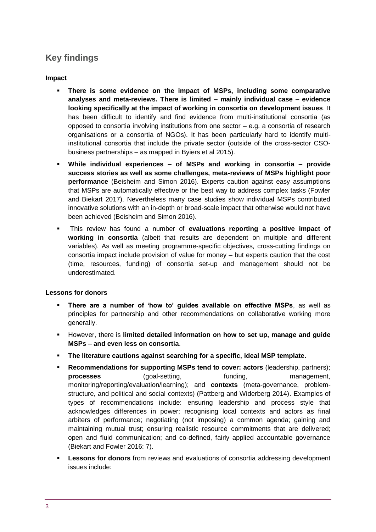## **Key findings**

### **Impact**

- **There is some evidence on the impact of MSPs, including some comparative analyses and meta-reviews. There is limited – mainly individual case – evidence looking specifically at the impact of working in consortia on development issues**. It has been difficult to identify and find evidence from multi-institutional consortia (as opposed to consortia involving institutions from one sector – e.g. a consortia of research organisations or a consortia of NGOs). It has been particularly hard to identify multiinstitutional consortia that include the private sector (outside of the cross-sector CSObusiness partnerships – as mapped in Byiers et al 2015).
- **While individual experiences – of MSPs and working in consortia – provide success stories as well as some challenges, meta-reviews of MSPs highlight poor performance** (Beisheim and Simon 2016). Experts caution against easy assumptions that MSPs are automatically effective or the best way to address complex tasks (Fowler and Biekart 2017). Nevertheless many case studies show individual MSPs contributed innovative solutions with an in-depth or broad-scale impact that otherwise would not have been achieved (Beisheim and Simon 2016).
- This review has found a number of **evaluations reporting a positive impact of working in consortia** (albeit that results are dependent on multiple and different variables). As well as meeting programme-specific objectives, cross-cutting findings on consortia impact include provision of value for money – but experts caution that the cost (time, resources, funding) of consortia set-up and management should not be underestimated.

### **Lessons for donors**

- **There are a number of 'how to' guides available on effective MSPs**, as well as principles for partnership and other recommendations on collaborative working more generally.
- However, there is **limited detailed information on how to set up, manage and guide MSPs – and even less on consortia**.
- **The literature cautions against searching for a specific, ideal MSP template.**
- **Recommendations for supporting MSPs tend to cover: actors (leadership, partners); processes** (goal-setting, funding, management, monitoring/reporting/evaluation/learning); and **contexts** (meta-governance, problemstructure, and political and social contexts) (Pattberg and Widerberg 2014). Examples of types of recommendations include: ensuring leadership and process style that acknowledges differences in power; recognising local contexts and actors as final arbiters of performance; negotiating (not imposing) a common agenda; gaining and maintaining mutual trust; ensuring realistic resource commitments that are delivered; open and fluid communication; and co-defined, fairly applied accountable governance (Biekart and Fowler 2016: 7).
- **ELESSONS for donors** from reviews and evaluations of consortia addressing development issues include: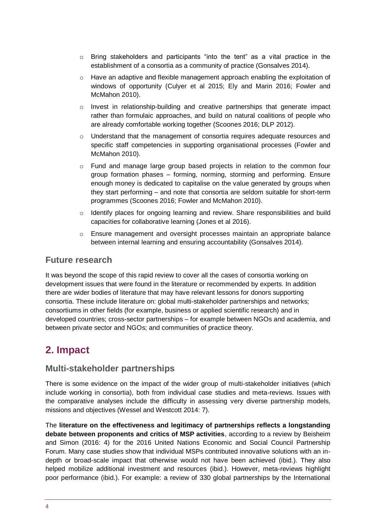- $\circ$  Bring stakeholders and participants "into the tent" as a vital practice in the establishment of a consortia as a community of practice (Gonsalves 2014).
- $\circ$  Have an adaptive and flexible management approach enabling the exploitation of windows of opportunity (Culyer et al 2015; Ely and Marin 2016; Fowler and McMahon 2010).
- o Invest in relationship-building and creative partnerships that generate impact rather than formulaic approaches, and build on natural coalitions of people who are already comfortable working together (Scoones 2016; DLP 2012).
- $\circ$  Understand that the management of consortia requires adequate resources and specific staff competencies in supporting organisational processes (Fowler and McMahon 2010).
- $\circ$  Fund and manage large group based projects in relation to the common four group formation phases – forming, norming, storming and performing. Ensure enough money is dedicated to capitalise on the value generated by groups when they start performing – and note that consortia are seldom suitable for short-term programmes (Scoones 2016; Fowler and McMahon 2010).
- $\circ$  Identify places for ongoing learning and review. Share responsibilities and build capacities for collaborative learning (Jones et al 2016).
- $\circ$  Ensure management and oversight processes maintain an appropriate balance between internal learning and ensuring accountability (Gonsalves 2014).

### **Future research**

It was beyond the scope of this rapid review to cover all the cases of consortia working on development issues that were found in the literature or recommended by experts. In addition there are wider bodies of literature that may have relevant lessons for donors supporting consortia. These include literature on: global multi-stakeholder partnerships and networks; consortiums in other fields (for example, business or applied scientific research) and in developed countries; cross-sector partnerships – for example between NGOs and academia, and between private sector and NGOs; and communities of practice theory.

# <span id="page-3-0"></span>**2. Impact**

### **Multi-stakeholder partnerships**

There is some evidence on the impact of the wider group of multi-stakeholder initiatives (which include working in consortia), both from individual case studies and meta-reviews. Issues with the comparative analyses include the difficulty in assessing very diverse partnership models, missions and objectives (Wessel and Westcott 2014: 7).

The **literature on the effectiveness and legitimacy of partnerships reflects a longstanding debate between proponents and critics of MSP activities**, according to a review by Beisheim and Simon (2016: 4) for the 2016 United Nations Economic and Social Council Partnership Forum. Many case studies show that individual MSPs contributed innovative solutions with an indepth or broad-scale impact that otherwise would not have been achieved (ibid.). They also helped mobilize additional investment and resources (ibid.). However, meta-reviews highlight poor performance (ibid.). For example: a review of 330 global partnerships by the International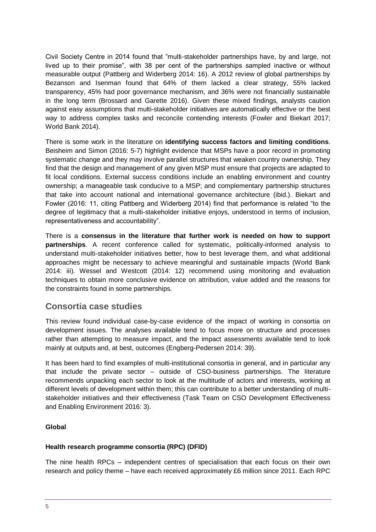Civil Society Centre in 2014 found that "multi-stakeholder partnerships have, by and large, not lived up to their promise", with 38 per cent of the partnerships sampled inactive or without measurable output (Pattberg and Widerberg 2014: 16). A 2012 review of global partnerships by Bezanson and Isenman found that 64% of them lacked a clear strategy, 55% lacked transparency, 45% had poor governance mechanism, and 36% were not financially sustainable in the long term (Brossard and Garette 2016). Given these mixed findings, analysts caution against easy assumptions that multi-stakeholder initiatives are automatically effective or the best way to address complex tasks and reconcile contending interests (Fowler and Biekart 2017; World Bank 2014).

There is some work in the literature on **identifying success factors and limiting conditions**. Beisheim and Simon (2016: 5-7) highlight evidence that MSPs have a poor record in promoting systematic change and they may involve parallel structures that weaken country ownership. They find that the design and management of any given MSP must ensure that projects are adapted to fit local conditions. External success conditions include an enabling environment and country ownership; a manageable task conducive to a MSP; and complementary partnership structures that take into account national and international governance architecture (ibid.). Biekart and Fowler (2016: 11, citing Pattberg and Widerberg 2014) find that performance is related "to the degree of legitimacy that a multi-stakeholder initiative enjoys, understood in terms of inclusion, representativeness and accountability".

There is a **consensus in the literature that further work is needed on how to support partnerships**. A recent conference called for systematic, politically-informed analysis to understand multi-stakeholder initiatives better, how to best leverage them, and what additional approaches might be necessary to achieve meaningful and sustainable impacts (World Bank 2014: iii). Wessel and Westcott (2014: 12) recommend using monitoring and evaluation techniques to obtain more conclusive evidence on attribution, value added and the reasons for the constraints found in some partnerships.

### **Consortia case studies**

This review found individual case-by-case evidence of the impact of working in consortia on development issues. The analyses available tend to focus more on structure and processes rather than attempting to measure impact, and the impact assessments available tend to look mainly at outputs and, at best, outcomes (Engberg-Pedersen 2014: 39).

It has been hard to find examples of multi-institutional consortia in general, and in particular any that include the private sector – outside of CSO-business partnerships. The literature recommends unpacking each sector to look at the multitude of actors and interests, working at different levels of development within them; this can contribute to a better understanding of multistakeholder initiatives and their effectiveness (Task Team on CSO Development Effectiveness and Enabling Environment 2016: 3).

### **Global**

#### **Health research programme consortia (RPC) (DFID)**

The nine health RPCs – independent centres of specialisation that each focus on their own research and policy theme – have each received approximately £6 million since 2011. Each RPC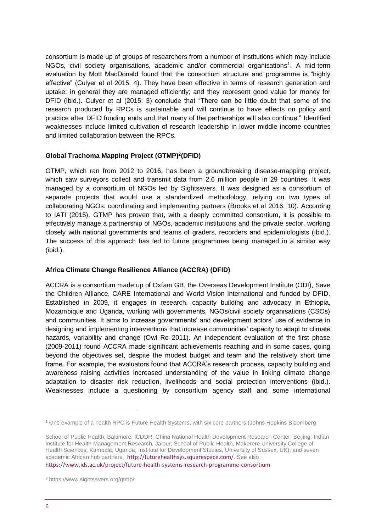consortium is made up of groups of researchers from a number of institutions which may include NGOs, civil society organisations, academic and/or commercial organisations<sup>1</sup>. A mid-term evaluation by Mott MacDonald found that the consortium structure and programme is "highly effective" (Culyer et al 2015: 4). They have been effective in terms of research generation and uptake; in general they are managed efficiently; and they represent good value for money for DFID (ibid.). Culyer et al (2015: 3) conclude that "There can be little doubt that some of the research produced by RPCs is sustainable and will continue to have effects on policy and practice after DFID funding ends and that many of the partnerships will also continue." Identified weaknesses include limited cultivation of research leadership in lower middle income countries and limited collaboration between the RPCs.

### **Global Trachoma Mapping Project (GTMP)<sup>2</sup> (DFID)**

GTMP, which ran from 2012 to 2016, has been a groundbreaking disease-mapping project, which saw surveyors collect and transmit data from 2.6 million people in 29 countries. It was managed by a consortium of NGOs led by Sightsavers. It was designed as a consortium of separate projects that would use a standardized methodology, relying on two types of collaborating NGOs: coordinating and implementing partners (Brooks et al 2016: 10). According to IATI (2015), GTMP has proven that, with a deeply committed consortium, it is possible to effectively manage a partnership of NGOs, academic institutions and the private sector, working closely with national governments and teams of graders, recorders and epidemiologists (ibid.). The success of this approach has led to future programmes being managed in a similar way (ibid.).

### **Africa Climate Change Resilience Alliance (ACCRA) (DFID)**

ACCRA is a consortium made up of Oxfam GB, the Overseas Development Institute (ODI), Save the Children Alliance, CARE International and World Vision International and funded by DFID. Established in 2009, it engages in research, capacity building and advocacy in Ethiopia, Mozambique and Uganda, working with governments, NGOs/civil society organisations (CSOs) and communities. It aims to increase governments' and development actors' use of evidence in designing and implementing interventions that increase communities' capacity to adapt to climate hazards, variability and change (Owl Re 2011). An independent evaluation of the first phase (2009-2011) found ACCRA made significant achievements reaching and in some cases, going beyond the objectives set, despite the modest budget and team and the relatively short time frame. For example, the evaluators found that ACCRA's research process, capacity building and awareness raising activities increased understanding of the value in linking climate change adaptation to disaster risk reduction, livelihoods and social protection interventions (ibid.). Weaknesses include a questioning by consortium agency staff and some international

<https://www.ids.ac.uk/project/future-health-systems-research-programme-consortium>

<sup>1</sup> One example of a health RPC is Future Health Systems, with six core partners (Johns Hopkins Bloomberg

School of Public Health, Baltimore; ICDDR, China National Health Development Research Center, Beijing; Indian Institute for Health Management Research, Jaipur; School of Public Health, Makerere University College of Health Sciences, Kampala, Uganda; Institute for Development Studies, University of Sussex, UK); and seven academic African hub partners. <http://futurehealthsys.squarespace.com/>. See also

<sup>2</sup> https://www.sightsavers.org/gtmp/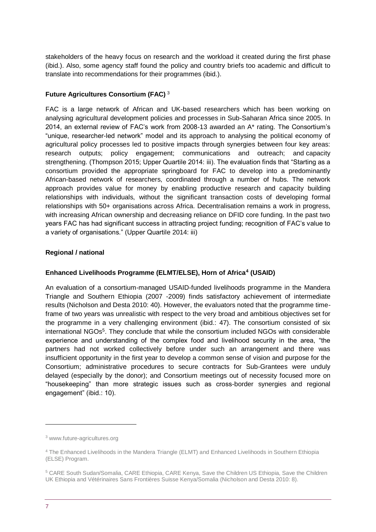stakeholders of the heavy focus on research and the workload it created during the first phase (ibid.). Also, some agency staff found the policy and country briefs too academic and difficult to translate into recommendations for their programmes (ibid.).

### **Future Agricultures Consortium (FAC)** <sup>3</sup>

FAC is a large network of African and UK-based researchers which has been working on analysing agricultural development policies and processes in Sub-Saharan Africa since 2005. In 2014, an external review of FAC's work from 2008-13 awarded an A\* rating. The Consortium's "unique, researcher-led network" model and its approach to analysing the political economy of agricultural policy processes led to positive impacts through synergies between four key areas: research outputs; policy engagement; communications and outreach; and capacity strengthening. (Thompson 2015; Upper Quartile 2014: iii). The evaluation finds that "Starting as a consortium provided the appropriate springboard for FAC to develop into a predominantly African-based network of researchers, coordinated through a number of hubs. The network approach provides value for money by enabling productive research and capacity building relationships with individuals, without the significant transaction costs of developing formal relationships with 50+ organisations across Africa. Decentralisation remains a work in progress, with increasing African ownership and decreasing reliance on DFID core funding. In the past two years FAC has had significant success in attracting project funding; recognition of FAC's value to a variety of organisations." (Upper Quartile 2014: iii)

### **Regional / national**

### **Enhanced Livelihoods Programme (ELMT/ELSE), Horn of Africa<sup>4</sup> (USAID)**

An evaluation of a consortium-managed USAID-funded livelihoods programme in the Mandera Triangle and Southern Ethiopia (2007 -2009) finds satisfactory achievement of intermediate results (Nicholson and Desta 2010: 40). However, the evaluators noted that the programme timeframe of two years was unrealistic with respect to the very broad and ambitious objectives set for the programme in a very challenging environment (ibid.: 47). The consortium consisted of six international NGOs<sup>5</sup>. They conclude that while the consortium included NGOs with considerable experience and understanding of the complex food and livelihood security in the area, "the partners had not worked collectively before under such an arrangement and there was insufficient opportunity in the first year to develop a common sense of vision and purpose for the Consortium; administrative procedures to secure contracts for Sub-Grantees were unduly delayed (especially by the donor); and Consortium meetings out of necessity focused more on "housekeeping" than more strategic issues such as cross-border synergies and regional engagement" (ibid.: 10).

<sup>3</sup> [www.future-agricultures.org](http://www.future-agricultures.org/)

<sup>4</sup> The Enhanced Livelihoods in the Mandera Triangle (ELMT) and Enhanced Livelihoods in Southern Ethiopia (ELSE) Program.

<sup>5</sup> CARE South Sudan/Somalia, CARE Ethiopia, CARE Kenya, Save the Children US Ethiopia, Save the Children UK Ethiopia and Vétérinaires Sans Frontières Suisse Kenya/Somalia (Nicholson and Desta 2010: 8).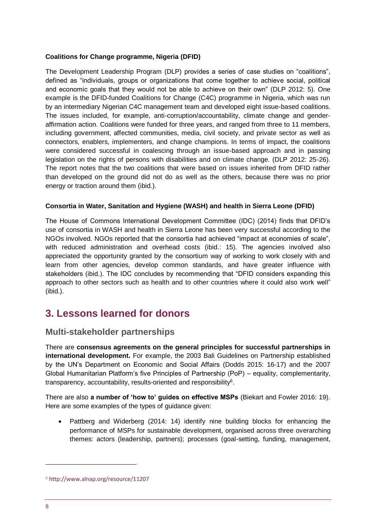### **Coalitions for Change programme, Nigeria (DFID)**

The Development Leadership Program (DLP) provides a series of case studies on "coalitions", defined as "individuals, groups or organizations that come together to achieve social, political and economic goals that they would not be able to achieve on their own" (DLP 2012: 5). One example is the DFID-funded Coalitions for Change (C4C) programme in Nigeria, which was run by an intermediary Nigerian C4C management team and developed eight issue-based coalitions. The issues included, for example, anti-corruption/accountability, climate change and genderaffirmation action. Coalitions were funded for three years, and ranged from three to 11 members, including government, affected communities, media, civil society, and private sector as well as connectors, enablers, implementers, and change champions. In terms of impact, the coalitions were considered successful in coalescing through an issue-based approach and in passing legislation on the rights of persons with disabilities and on climate change. (DLP 2012: 25-26). The report notes that the two coalitions that were based on issues inherited from DFID rather than developed on the ground did not do as well as the others, because there was no prior energy or traction around them (ibid.).

### **Consortia in Water, Sanitation and Hygiene (WASH) and health in Sierra Leone (DFID)**

The House of Commons International Development Committee (IDC) (2014) finds that DFID's use of consortia in WASH and health in Sierra Leone has been very successful according to the NGOs involved. NGOs reported that the consortia had achieved "impact at economies of scale", with reduced administration and overhead costs (ibid.: 15). The agencies involved also appreciated the opportunity granted by the consortium way of working to work closely with and learn from other agencies, develop common standards, and have greater influence with stakeholders (ibid.). The IDC concludes by recommending that "DFID considers expanding this approach to other sectors such as health and to other countries where it could also work well" (ibid.).

# <span id="page-7-0"></span>**3. Lessons learned for donors**

### **Multi-stakeholder partnerships**

There are **consensus agreements on the general principles for successful partnerships in international development.** For example, the 2003 Bali Guidelines on Partnership established by the UN's Department on Economic and Social Affairs (Dodds 2015: 16-17) and the 2007 Global Humanitarian Platform's five Principles of Partnership (PoP) – equality, complementarity, transparency, accountability, results-oriented and responsibility $6$ .

There are also **a number of 'how to' guides on effective MSPs** (Biekart and Fowler 2016: 19). Here are some examples of the types of guidance given:

• Pattberg and Widerberg (2014: 14) identify nine building blocks for enhancing the performance of MSPs for sustainable development, organised across three overarching themes: actors (leadership, partners); processes (goal-setting, funding, management,

-

<sup>6</sup> <http://www.alnap.org/resource/11207>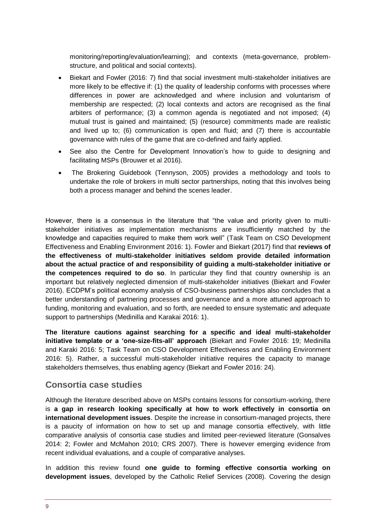monitoring/reporting/evaluation/learning); and contexts (meta-governance, problemstructure, and political and social contexts).

- Biekart and Fowler (2016: 7) find that social investment multi-stakeholder initiatives are more likely to be effective if: (1) the quality of leadership conforms with processes where differences in power are acknowledged and where inclusion and voluntarism of membership are respected; (2) local contexts and actors are recognised as the final arbiters of performance; (3) a common agenda is negotiated and not imposed; (4) mutual trust is gained and maintained; (5) (resource) commitments made are realistic and lived up to; (6) communication is open and fluid; and (7) there is accountable governance with rules of the game that are co-defined and fairly applied.
- See also the Centre for Development Innovation's how to quide to designing and facilitating MSPs (Brouwer et al 2016).
- The Brokering Guidebook (Tennyson, 2005) provides a methodology and tools to undertake the role of brokers in multi sector partnerships, noting that this involves being both a process manager and behind the scenes leader.

However, there is a consensus in the literature that "the value and priority given to multistakeholder initiatives as implementation mechanisms are insufficiently matched by the knowledge and capacities required to make them work well" (Task Team on CSO Development Effectiveness and Enabling Environment 2016: 1). Fowler and Biekart (2017) find that **reviews of the effectiveness of multi-stakeholder initiatives seldom provide detailed information about the actual practice of and responsibility of guiding a multi-stakeholder initiative or the competences required to do so**. In particular they find that country ownership is an important but relatively neglected dimension of multi-stakeholder initiatives (Biekart and Fowler 2016). ECDPM's political economy analysis of CSO-business partnerships also concludes that a better understanding of partnering processes and governance and a more attuned approach to funding, monitoring and evaluation, and so forth, are needed to ensure systematic and adequate support to partnerships (Medinilla and Karakai 2016: 1).

**The literature cautions against searching for a specific and ideal multi-stakeholder initiative template or a 'one-size-fits-all' approach** (Biekart and Fowler 2016: 19; Medinilla and Karaki 2016: 5; Task Team on CSO Development Effectiveness and Enabling Environment 2016: 5). Rather, a successful multi-stakeholder initiative requires the capacity to manage stakeholders themselves, thus enabling agency (Biekart and Fowler 2016: 24).

### **Consortia case studies**

Although the literature described above on MSPs contains lessons for consortium-working, there is **a gap in research looking specifically at how to work effectively in consortia on international development issues**. Despite the increase in consortium-managed projects, there is a paucity of information on how to set up and manage consortia effectively, with little comparative analysis of consortia case studies and limited peer-reviewed literature (Gonsalves 2014: 2; Fowler and McMahon 2010; CRS 2007). There is however emerging evidence from recent individual evaluations, and a couple of comparative analyses.

In addition this review found **one guide to forming effective consortia working on development issues**, developed by the Catholic Relief Services (2008). Covering the design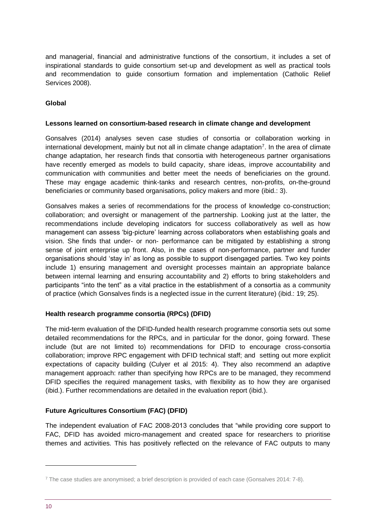and managerial, financial and administrative functions of the consortium, it includes a set of inspirational standards to guide consortium set-up and development as well as practical tools and recommendation to guide consortium formation and implementation (Catholic Relief Services 2008).

### **Global**

#### **Lessons learned on consortium-based research in climate change and development**

Gonsalves (2014) analyses seven case studies of consortia or collaboration working in international development, mainly but not all in climate change adaptation<sup>7</sup>. In the area of climate change adaptation, her research finds that consortia with heterogeneous partner organisations have recently emerged as models to build capacity, share ideas, improve accountability and communication with communities and better meet the needs of beneficiaries on the ground. These may engage academic think-tanks and research centres, non-profits, on-the-ground beneficiaries or community based organisations, policy makers and more (ibid.: 3).

Gonsalves makes a series of recommendations for the process of knowledge co-construction; collaboration; and oversight or management of the partnership. Looking just at the latter, the recommendations include developing indicators for success collaboratively as well as how management can assess 'big-picture' learning across collaborators when establishing goals and vision. She finds that under- or non- performance can be mitigated by establishing a strong sense of joint enterprise up front. Also, in the cases of non-performance, partner and funder organisations should 'stay in' as long as possible to support disengaged parties. Two key points include 1) ensuring management and oversight processes maintain an appropriate balance between internal learning and ensuring accountability and 2) efforts to bring stakeholders and participants "into the tent" as a vital practice in the establishment of a consortia as a community of practice (which Gonsalves finds is a neglected issue in the current literature) (ibid.: 19; 25).

### **Health research programme consortia (RPCs) (DFID)**

The mid-term evaluation of the DFID-funded health research programme consortia sets out some detailed recommendations for the RPCs, and in particular for the donor, going forward. These include (but are not limited to) recommendations for DFID to encourage cross-consortia collaboration; improve RPC engagement with DFID technical staff; and setting out more explicit expectations of capacity building (Culyer et al 2015: 4). They also recommend an adaptive management approach: rather than specifying how RPCs are to be managed, they recommend DFID specifies the required management tasks, with flexibility as to how they are organised (ibid.). Further recommendations are detailed in the evaluation report (ibid.).

### **Future Agricultures Consortium (FAC) (DFID)**

The independent evaluation of FAC 2008-2013 concludes that "while providing core support to FAC, DFID has avoided micro-management and created space for researchers to prioritise themes and activities. This has positively reflected on the relevance of FAC outputs to many

-

<sup>7</sup> The case studies are anonymised; a brief description is provided of each case (Gonsalves 2014: 7-8).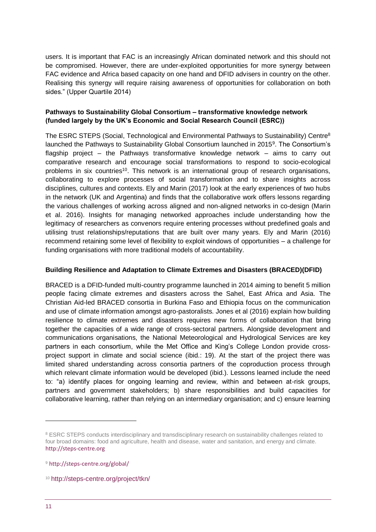users. It is important that FAC is an increasingly African dominated network and this should not be compromised. However, there are under-exploited opportunities for more synergy between FAC evidence and Africa based capacity on one hand and DFID advisers in country on the other. Realising this synergy will require raising awareness of opportunities for collaboration on both sides." (Upper Quartile 2014)

### **Pathways to Sustainability Global Consortium – transformative knowledge network (funded largely by the UK's Economic and Social Research Council (ESRC))**

The ESRC STEPS (Social, Technological and Environmental Pathways to Sustainability) Centre<sup>8</sup> launched the Pathways to Sustainability Global Consortium launched in 2015<sup>9</sup>. The Consortium's flagship project – the Pathways transformative knowledge network – aims to carry out comparative research and encourage social transformations to respond to socio-ecological problems in six countries<sup>10</sup>. This network is an international group of research organisations, collaborating to explore processes of social transformation and to share insights across disciplines, cultures and contexts. Ely and Marin (2017) look at the early experiences of two hubs in the network (UK and Argentina) and finds that the collaborative work offers lessons regarding the various challenges of working across aligned and non-aligned networks in co-design (Marin et al. 2016). Insights for managing networked approaches include understanding how the legitimacy of researchers as convenors require entering processes without predefined goals and utilising trust relationships/reputations that are built over many years. Ely and Marin (2016) recommend retaining some level of flexibility to exploit windows of opportunities – a challenge for funding organisations with more traditional models of accountability.

### **Building Resilience and Adaptation to Climate Extremes and Disasters (BRACED)(DFID)**

BRACED is a DFID-funded multi-country programme launched in 2014 aiming to benefit 5 million people facing climate extremes and disasters across the Sahel, East Africa and Asia. The Christian Aid-led BRACED consortia in Burkina Faso and Ethiopia focus on the communication and use of climate information amongst agro-pastoralists. Jones et al (2016) explain how building resilience to climate extremes and disasters requires new forms of collaboration that bring together the capacities of a wide range of cross-sectoral partners. Alongside development and communications organisations, the National Meteorological and Hydrological Services are key partners in each consortium, while the Met Office and King's College London provide crossproject support in climate and social science (ibid.: 19). At the start of the project there was limited shared understanding across consortia partners of the coproduction process through which relevant climate information would be developed (ibid.). Lessons learned include the need to: "a) identify places for ongoing learning and review, within and between at-risk groups, partners and government stakeholders; b) share responsibilities and build capacities for collaborative learning, rather than relying on an intermediary organisation; and c) ensure learning

<sup>&</sup>lt;sup>8</sup> ESRC STEPS conducts interdisciplinary and transdisciplinary research on sustainability challenges related to four broad domains: food and agriculture, health and disease, water and sanitation, and energy and climate. [http://steps-centre.org](http://steps-centre.org/)

<sup>9</sup> <http://steps-centre.org/global/>

<sup>10</sup> <http://steps-centre.org/project/tkn/>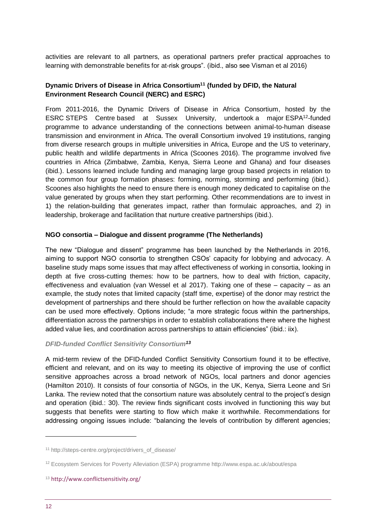activities are relevant to all partners, as operational partners prefer practical approaches to learning with demonstrable benefits for at-risk groups". (ibid., also see Visman et al 2016)

### **Dynamic Drivers of Disease in Africa Consortium<sup>11</sup> (funded by DFID, the Natural Environment Research Council (NERC) and ESRC)**

From 2011-2016, the Dynamic Drivers of Disease in Africa Consortium, hosted by the ESRC STEPS Centre based at Sussex University, undertook a major ESPA<sup>12</sup>-funded programme to advance understanding of the connections between animal-to-human disease transmission and environment in Africa. The overall Consortium involved 19 institutions, ranging from diverse research groups in multiple universities in Africa, Europe and the US to veterinary, public health and wildlife departments in Africa (Scoones 2016). The programme involved five countries in Africa (Zimbabwe, Zambia, Kenya, Sierra Leone and Ghana) and four diseases (ibid.). Lessons learned include funding and managing large group based projects in relation to the common four group formation phases: forming, norming, storming and performing (ibid.). Scoones also highlights the need to ensure there is enough money dedicated to capitalise on the value generated by groups when they start performing. Other recommendations are to invest in 1) the relation-building that generates impact, rather than formulaic approaches, and 2) in leadership, brokerage and facilitation that nurture creative partnerships (ibid.).

#### **NGO consortia – Dialogue and dissent programme (The Netherlands)**

The new "Dialogue and dissent" programme has been launched by the Netherlands in 2016, aiming to support NGO consortia to strengthen CSOs' capacity for lobbying and advocacy. A baseline study maps some issues that may affect effectiveness of working in consortia, looking in depth at five cross-cutting themes: how to be partners, how to deal with friction, capacity, effectiveness and evaluation (van Wessel et al 2017). Taking one of these – capacity – as an example, the study notes that limited capacity (staff time, expertise) of the donor may restrict the development of partnerships and there should be further reflection on how the available capacity can be used more effectively. Options include; "a more strategic focus within the partnerships, differentiation across the partnerships in order to establish collaborations there where the highest added value lies, and coordination across partnerships to attain efficiencies" (ibid.: iix).

#### *DFID-funded Conflict Sensitivity Consortium<sup>13</sup>*

A mid-term review of the DFID-funded Conflict Sensitivity Consortium found it to be effective, efficient and relevant, and on its way to meeting its objective of improving the use of conflict sensitive approaches across a broad network of NGOs, local partners and donor agencies (Hamilton 2010). It consists of four consortia of NGOs, in the UK, Kenya, Sierra Leone and Sri Lanka. The review noted that the consortium nature was absolutely central to the project's design and operation (ibid.: 30). The review finds significant costs involved in functioning this way but suggests that benefits were starting to flow which make it worthwhile. Recommendations for addressing ongoing issues include: "balancing the levels of contribution by different agencies;

-

<sup>11</sup> http://steps-centre.org/project/drivers\_of\_disease/

<sup>12</sup> Ecosystem Services for Poverty Alleviation (ESPA) programme<http://www.espa.ac.uk/about/espa>

<sup>13</sup> <http://www.conflictsensitivity.org/>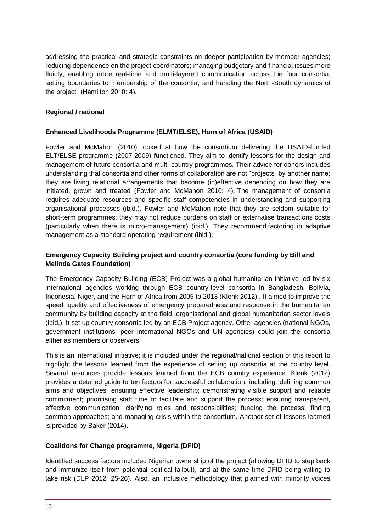addressing the practical and strategic constraints on deeper participation by member agencies; reducing dependence on the project coordinators; managing budgetary and financial issues more fluidly; enabling more real-time and multi-layered communication across the four consortia; setting boundaries to membership of the consortia; and handling the North-South dynamics of the project" (Hamilton 2010: 4).

### **Regional / national**

### **Enhanced Livelihoods Programme (ELMT/ELSE), Horn of Africa (USAID)**

Fowler and McMahon (2010) looked at how the consortium delivering the USAID-funded ELT/ELSE programme (2007-2009) functioned. They aim to identify lessons for the design and management of future consortia and multi-country programmes. Their advice for donors includes understanding that consortia and other forms of collaboration are not "projects" by another name; they are living relational arrangements that become (in)effective depending on how they are initiated, grown and treated (Fowler and McMahon 2010: 4). The management of consortia requires adequate resources and specific staff competencies in understanding and supporting organisational processes (ibid.). Fowler and McMahon note that they are seldom suitable for short-term programmes; they may not reduce burdens on staff or externalise transactions costs (particularly when there is micro-management) (ibid.). They recommend factoring in adaptive management as a standard operating requirement (ibid.).

### **Emergency Capacity Building project and country consortia (core funding by Bill and Melinda Gates Foundation)**

The Emergency Capacity Building (ECB) Project was a global humanitarian initiative led by six international agencies working through ECB country-level consortia in Bangladesh, Bolivia, Indonesia, Niger, and the Horn of Africa from 2005 to 2013 (Klenk 2012) . It aimed to improve the speed, quality and effectiveness of emergency preparedness and response in the humanitarian community by building capacity at the field, organisational and global humanitarian sector levels (ibid.). It set up country consortia led by an ECB Project agency. Other agencies (national NGOs, government institutions, peer international NGOs and UN agencies) could join the consortia either as members or observers.

This is an international initiative; it is included under the regional/national section of this report to highlight the lessons learned from the experience of setting up consortia at the country level. Several resources provide lessons learned from the ECB country experience. Klenk (2012) provides a detailed guide to ten factors for successful collaboration, including: defining common aims and objectives; ensuring effective leadership; demonstrating visible support and reliable commitment; prioritising staff time to facilitate and support the process; ensuring transparent, effective communication; clarifying roles and responsibilities; funding the process; finding common approaches; and managing crisis within the consortium. Another set of lessons learned is provided by Baker (2014).

### **Coalitions for Change programme, Nigeria (DFID)**

Identified success factors included Nigerian ownership of the project (allowing DFID to step back and immunize itself from potential political fallout), and at the same time DFID being willing to take risk (DLP 2012: 25-26). Also, an inclusive methodology that planned with minority voices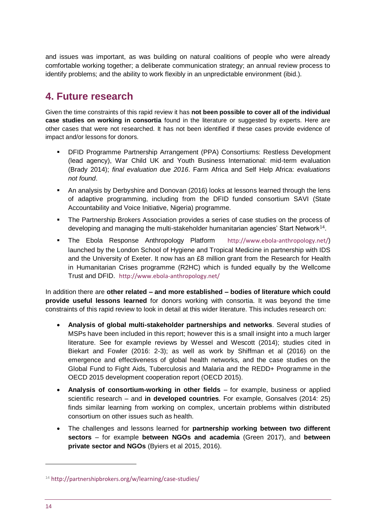and issues was important, as was building on natural coalitions of people who were already comfortable working together; a deliberate communication strategy; an annual review process to identify problems; and the ability to work flexibly in an unpredictable environment (ibid.).

# <span id="page-13-0"></span>**4. Future research**

Given the time constraints of this rapid review it has **not been possible to cover all of the individual case studies on working in consortia** found in the literature or suggested by experts. Here are other cases that were not researched. It has not been identified if these cases provide evidence of impact and/or lessons for donors.

- DFID Programme Partnership Arrangement (PPA) Consortiums: Restless Development (lead agency), War Child UK and Youth Business International: mid-term evaluation (Brady 2014); *final evaluation due 2016*. Farm Africa and Self Help Africa: *evaluations not found*.
- **•** An analysis by Derbyshire and Donovan (2016) looks at lessons learned through the lens of adaptive programming, including from the DFID funded consortium SAVI (State Accountability and Voice Initiative, Nigeria) programme.
- The Partnership Brokers Association provides a series of case studies on the process of developing and managing the multi-stakeholder humanitarian agencies' Start Network<sup>14</sup>.
- The Ebola Response Anthropology Platform <http://www.ebola-anthropology.net/>) launched by the London School of Hygiene and Tropical Medicine in partnership with IDS and the University of Exeter. It now has an £8 million grant from the Research for Health in Humanitarian Crises programme (R2HC) which is funded equally by the Wellcome Trust and DFID. <http://www.ebola-anthropology.net/>

In addition there are **other related – and more established – bodies of literature which could provide useful lessons learned** for donors working with consortia. It was beyond the time constraints of this rapid review to look in detail at this wider literature. This includes research on:

- **Analysis of global multi-stakeholder partnerships and networks**. Several studies of MSPs have been included in this report; however this is a small insight into a much larger literature. See for example reviews by Wessel and Wescott (2014); studies cited in Biekart and Fowler (2016: 2-3); as well as work by Shiffman et al (2016) on the emergence and effectiveness of global health networks, and the case studies on the Global Fund to Fight Aids, Tuberculosis and Malaria and the REDD+ Programme in the OECD 2015 development cooperation report (OECD 2015).
- **Analysis of consortium-working in other fields** for example, business or applied scientific research – and **in developed countries**. For example, Gonsalves (2014: 25) finds similar learning from working on complex, uncertain problems within distributed consortium on other issues such as health.
- The challenges and lessons learned for **partnership working between two different sectors** – for example **between NGOs and academia** (Green 2017), and **between private sector and NGOs** (Byiers et al 2015, 2016).

<sup>14</sup> http://partnershipbrokers[.org/w/learning/case-studies/](http://partnershipbrokers.org/w/learning/case-studies/)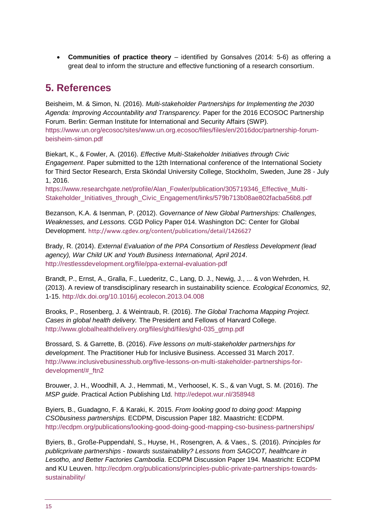• **Communities of practice theory** – identified by Gonsalves (2014: 5-6) as offering a great deal to inform the structure and effective functioning of a research consortium.

# <span id="page-14-0"></span>**5. References**

Beisheim, M. & Simon, N. (2016). *Multi-stakeholder Partnerships for Implementing the 2030 Agenda: Improving Accountability and Transparency.* Paper for the 2016 ECOSOC Partnership Forum. Berlin: German Institute for International and Security Affairs (SWP). [https://www.un.org/ecosoc/sites/www.un.org.ecosoc/files/files/en/2016doc/partnership-forum](https://www.un.org/ecosoc/sites/www.un.org.ecosoc/files/files/en/2016doc/partnership-forum-beisheim-simon.pdf)[beisheim-simon.pdf](https://www.un.org/ecosoc/sites/www.un.org.ecosoc/files/files/en/2016doc/partnership-forum-beisheim-simon.pdf)

Biekart, K., & Fowler, A. (2016). *Effective Multi-Stakeholder Initiatives through Civic Engagement*. Paper submitted to the 12th International conference of the International Society for Third Sector Research, Ersta Sköndal University College, Stockholm, Sweden, June 28 - July 1, 2016.

[https://www.researchgate.net/profile/Alan\\_Fowler/publication/305719346\\_Effective\\_Multi-](https://www.researchgate.net/profile/Alan_Fowler/publication/305719346_Effective_Multi-Stakeholder_Initiatives_through_Civic_Engagement/links/579b713b08ae802facba56b8.pdf)[Stakeholder\\_Initiatives\\_through\\_Civic\\_Engagement/links/579b713b08ae802facba56b8.pdf](https://www.researchgate.net/profile/Alan_Fowler/publication/305719346_Effective_Multi-Stakeholder_Initiatives_through_Civic_Engagement/links/579b713b08ae802facba56b8.pdf)

Bezanson, K.A. & Isenman, P. (2012). *Governance of New Global Partnerships: Challenges, Weaknesses, and Lessons.* CGD Policy Paper 014. Washington DC: Center for Global Development. <http://www.cgdev.org/content/publications/detail/1426627>

Brady, R. (2014). *External Evaluation of the PPA Consortium of Restless Development (lead agency), War Child UK and Youth Business International, April 2014*. <http://restlessdevelopment.org/file/ppa-external-evaluation-pdf>

Brandt, P., Ernst, A., Gralla, F., Luederitz, C., Lang, D. J., Newig, J., ... & von Wehrden, H. (2013). A review of transdisciplinary research in sustainability science*. Ecological Economics, 92*, 1-15. <http://dx.doi.org/10.1016/j.ecolecon.2013.04.008>

Brooks, P., Rosenberg, J. & Weintraub, R. (2016). *The Global Trachoma Mapping Project. Cases in global health delivery.* The President and Fellows of Harvard College. [http://www.globalhealthdelivery.org/files/ghd/files/ghd-035\\_gtmp.pdf](http://www.globalhealthdelivery.org/files/ghd/files/ghd-035_gtmp.pdf)

Brossard, S. & Garrette, B. (2016). *Five lessons on multi-stakeholder partnerships for development*. The Practitioner Hub for Inclusive Business. Accessed 31 March 2017. [http://www.inclusivebusinesshub.org/five-lessons-on-multi-stakeholder-partnerships-for](http://www.inclusivebusinesshub.org/five-lessons-on-multi-stakeholder-partnerships-for-development/#_ftn2)[development/#\\_ftn2](http://www.inclusivebusinesshub.org/five-lessons-on-multi-stakeholder-partnerships-for-development/#_ftn2)

Brouwer, J. H., Woodhill, A. J., Hemmati, M., Verhoosel, K. S., & van Vugt, S. M. (2016). *The MSP guide*. Practical Action Publishing Ltd.<http://edepot.wur.nl/358948>

Byiers, B., Guadagno, F. & Karaki, K. 2015. *From looking good to doing good: Mapping CSObusiness partnerships.* ECDPM, Discussion Paper 182. Maastricht: ECDPM. <http://ecdpm.org/publications/looking-good-doing-good-mapping-cso-business-partnerships/>

Byiers, B., Große-Puppendahl, S., Huyse, H., Rosengren, A. & Vaes., S. (2016). *Principles for publicprivate partnerships - towards sustainability? Lessons from SAGCOT, healthcare in Lesotho, and Better Factories Cambodia*. ECDPM Discussion Paper 194. Maastricht: ECDPM and KU Leuven. [http://ecdpm.org/publications/principles-public-private-partnerships-towards](http://ecdpm.org/publications/principles-public-private-partnerships-towards-sustainability/)[sustainability/](http://ecdpm.org/publications/principles-public-private-partnerships-towards-sustainability/)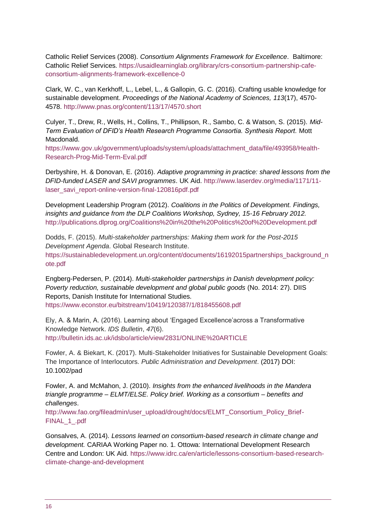Catholic Relief Services (2008). *Consortium Alignments Framework for Excellence*. Baltimore: Catholic Relief Services. [https://usaidlearninglab.org/library/crs-consortium-partnership-cafe](https://usaidlearninglab.org/library/crs-consortium-partnership-cafe-consortium-alignments-framework-excellence-0)[consortium-alignments-framework-excellence-0](https://usaidlearninglab.org/library/crs-consortium-partnership-cafe-consortium-alignments-framework-excellence-0)

Clark, W. C., van Kerkhoff, L., Lebel, L., & Gallopin, G. C. (2016). Crafting usable knowledge for sustainable development. *Proceedings of the National Academy of Sciences, 113*(17), 4570- 4578. <http://www.pnas.org/content/113/17/4570.short>

Culyer, T., Drew, R., Wells, H., Collins, T., Phillipson, R., Sambo, C. & Watson, S. (2015). *Mid-Term Evaluation of DFID's Health Research Programme Consortia. Synthesis Report.* Mott Macdonald.

[https://www.gov.uk/government/uploads/system/uploads/attachment\\_data/file/493958/Health-](https://www.gov.uk/government/uploads/system/uploads/attachment_data/file/493958/Health-Research-Prog-Mid-Term-Eval.pdf)[Research-Prog-Mid-Term-Eval.pdf](https://www.gov.uk/government/uploads/system/uploads/attachment_data/file/493958/Health-Research-Prog-Mid-Term-Eval.pdf)

Derbyshire, H. & Donovan, E. (2016). *Adaptive programming in practice: shared lessons from the DFID-funded LASER and SAVI programmes*. UK Aid. [http://www.laserdev.org/media/1171/11](http://www.laserdev.org/media/1171/11-laser_savi_report-online-version-final-120816pdf.pdf) laser\_savi\_report-online-version-final-120816pdf.pdf

Development Leadership Program (2012). *Coalitions in the Politics of Development. Findings, insights and guidance from the DLP Coalitions Workshop, Sydney, 15-16 February 2012.*  <http://publications.dlprog.org/Coalitions%20in%20the%20Politics%20of%20Development.pdf>

Dodds, F. (2015). *Multi-stakeholder partnerships: Making them work for the Post-2015 Development Agenda*. Global Research Institute. [https://sustainabledevelopment.un.org/content/documents/16192015partnerships\\_background\\_n](https://sustainabledevelopment.un.org/content/documents/16192015partnerships_background_note.pdf) [ote.pdf](https://sustainabledevelopment.un.org/content/documents/16192015partnerships_background_note.pdf)

Engberg-Pedersen, P. (2014). *Multi-stakeholder partnerships in Danish development policy: Poverty reduction, sustainable development and global public goods* (No. 2014: 27). DIIS Reports, Danish Institute for International Studies. <https://www.econstor.eu/bitstream/10419/120387/1/818455608.pdf>

Ely, A. & Marin, A. (2016). Learning about 'Engaged Excellence'across a Transformative Knowledge Network. *IDS Bulletin*, *47*(6). <http://bulletin.ids.ac.uk/idsbo/article/view/2831/ONLINE%20ARTICLE>

Fowler, A. & Biekart, K. (2017). Multi‐Stakeholder Initiatives for Sustainable Development Goals: The Importance of Interlocutors. *Public Administration and Development*. (2017) DOI: 10.1002/pad

Fowler, A. and McMahon, J. (2010). *Insights from the enhanced livelihoods in the Mandera triangle programme – ELMT/ELSE. Policy brief. Working as a consortium – benefits and challenges*.

[http://www.fao.org/fileadmin/user\\_upload/drought/docs/ELMT\\_Consortium\\_Policy\\_Brief-](http://www.fao.org/fileadmin/user_upload/drought/docs/ELMT_Consortium_Policy_Brief-FINAL_1_.pdf)[FINAL\\_1\\_.pdf](http://www.fao.org/fileadmin/user_upload/drought/docs/ELMT_Consortium_Policy_Brief-FINAL_1_.pdf)

Gonsalves, A. (2014). *Lessons learned on consortium-based research in climate change and development.* CARIAA Working Paper no. 1. Ottowa: International Development Research Centre and London: UK Aid. [https://www.idrc.ca/en/article/lessons-consortium-based-research](https://www.idrc.ca/en/article/lessons-consortium-based-research-climate-change-and-development)[climate-change-and-development](https://www.idrc.ca/en/article/lessons-consortium-based-research-climate-change-and-development)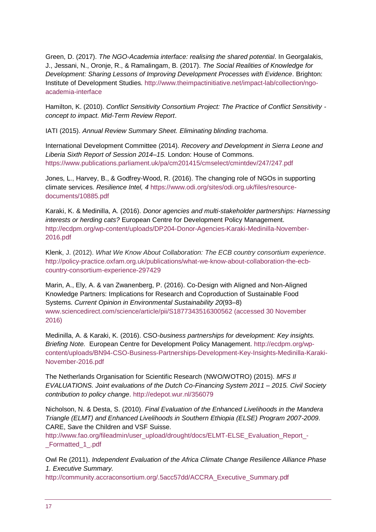Green, D. (2017). *The NGO-Academia interface: realising the shared potential*. In Georgalakis, J., Jessani, N., Oronje, R., & Ramalingam, B. (2017). *The Social Realities of Knowledge for Development: Sharing Lessons of Improving Development Processes with Evidence*. Brighton: Institute of Development Studies. [http://www.theimpactinitiative.net/impact-lab/collection/ngo](http://www.theimpactinitiative.net/impact-lab/collection/ngo-academia-interface)[academia-interface](http://www.theimpactinitiative.net/impact-lab/collection/ngo-academia-interface)

Hamilton, K. (2010). *Conflict Sensitivity Consortium Project: The Practice of Conflict Sensitivity concept to impact. Mid-Term Review Report*.

IATI (2015). *Annual Review Summary Sheet. Eliminating blinding trachoma*.

International Development Committee (2014). *Recovery and Development in Sierra Leone and Liberia Sixth Report of Session 2014–15.* London: House of Commons. <https://www.publications.parliament.uk/pa/cm201415/cmselect/cmintdev/247/247.pdf>

Jones, L., Harvey, B., & Godfrey-Wood, R. (2016). The changing role of NGOs in supporting climate services. *Resilience Intel, 4* [https://www.odi.org/sites/odi.org.uk/files/resource](https://www.odi.org/sites/odi.org.uk/files/resource-documents/10885.pdf)[documents/10885.pdf](https://www.odi.org/sites/odi.org.uk/files/resource-documents/10885.pdf)

Karaki, K. & Medinilla, A. (2016). *Donor agencies and multi-stakeholder partnerships: Harnessing interests or herding cats?* European Centre for Development Policy Management. [http://ecdpm.org/wp-content/uploads/DP204-Donor-Agencies-Karaki-Medinilla-November-](http://ecdpm.org/wp-content/uploads/DP204-Donor-Agencies-Karaki-Medinilla-November-2016.pdf)[2016.pdf](http://ecdpm.org/wp-content/uploads/DP204-Donor-Agencies-Karaki-Medinilla-November-2016.pdf)

Klenk, J. (2012). *What We Know About Collaboration: The ECB country consortium experience*. [http://policy-practice.oxfam.org.uk/publications/what-we-know-about-collaboration-the-ecb](http://policy-practice.oxfam.org.uk/publications/what-we-know-about-collaboration-the-ecb-country-consortium-experience-297429)[country-consortium-experience-297429](http://policy-practice.oxfam.org.uk/publications/what-we-know-about-collaboration-the-ecb-country-consortium-experience-297429)

Marin, A., Ely, A. & van Zwanenberg, P. (2016). Co-Design with Aligned and Non-Aligned Knowledge Partners: Implications for Research and Coproduction of Sustainable Food Systems. *Current Opinion in Environmental Sustainability 20*(93–8) [www.sciencedirect.com/science/article/pii/S1877343516300562](http://bulletin.ids.ac.uk/idsbo/article/view/2831/www.sciencedirect.com/science/article/pii/S1877343516300562) (accessed 30 November 2016)

Medinilla, A. & Karaki, K. (2016). CSO*-business partnerships for development: Key insights. Briefing Note.* European Centre for Development Policy Management. [http://ecdpm.org/wp](http://ecdpm.org/wp-content/uploads/BN94-CSO-Business-Partnerships-Development-Key-Insights-Medinilla-Karaki-November-2016.pdf)[content/uploads/BN94-CSO-Business-Partnerships-Development-Key-Insights-Medinilla-Karaki-](http://ecdpm.org/wp-content/uploads/BN94-CSO-Business-Partnerships-Development-Key-Insights-Medinilla-Karaki-November-2016.pdf)[November-2016.pdf](http://ecdpm.org/wp-content/uploads/BN94-CSO-Business-Partnerships-Development-Key-Insights-Medinilla-Karaki-November-2016.pdf)

The Netherlands Organisation for Scientific Research (NWO/WOTRO) (2015). *MFS II EVALUATIONS. Joint evaluations of the Dutch Co-Financing System 2011 – 2015. Civil Society contribution to policy change*.<http://edepot.wur.nl/356079>

Nicholson, N. & Desta, S. (2010). *Final Evaluation of the Enhanced Livelihoods in the Mandera Triangle (ELMT) and Enhanced Livelihoods in Southern Ethiopia (ELSE) Program 2007-2009*. CARE, Save the Children and VSF Suisse.

[http://www.fao.org/fileadmin/user\\_upload/drought/docs/ELMT-ELSE\\_Evaluation\\_Report\\_-](http://www.fao.org/fileadmin/user_upload/drought/docs/ELMT-ELSE_Evaluation_Report_-_Formatted_1_.pdf) [\\_Formatted\\_1\\_.pdf](http://www.fao.org/fileadmin/user_upload/drought/docs/ELMT-ELSE_Evaluation_Report_-_Formatted_1_.pdf)

Owl Re (2011). *Independent Evaluation of the Africa Climate Change Resilience Alliance Phase 1. Executive Summary.* 

[http://community.accraconsortium.org/.5acc57dd/ACCRA\\_Executive\\_Summary.pdf](http://community.accraconsortium.org/.5acc57dd/ACCRA_Executive_Summary.pdf)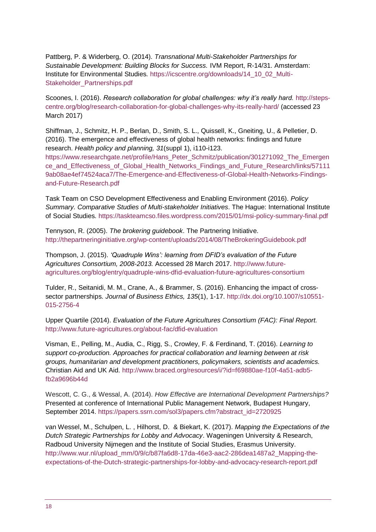Pattberg, P. & Widerberg, O. (2014). *Transnational Multi-Stakeholder Partnerships for Sustainable Development: Building Blocks for Success.* IVM Report, R-14/31. Amsterdam: Institute for Environmental Studies. [https://icscentre.org/downloads/14\\_10\\_02\\_Multi-](https://icscentre.org/downloads/14_10_02_Multi-Stakeholder_Partnerships.pdf)[Stakeholder\\_Partnerships.pdf](https://icscentre.org/downloads/14_10_02_Multi-Stakeholder_Partnerships.pdf)

Scoones, I. (2016). *Research collaboration for global challenges: why it's really hard.* [http://steps](http://steps-centre.org/blog/research-collaboration-for-global-challenges-why-its-really-hard/)[centre.org/blog/research-collaboration-for-global-challenges-why-its-really-hard/](http://steps-centre.org/blog/research-collaboration-for-global-challenges-why-its-really-hard/) (accessed 23 March 2017)

Shiffman, J., Schmitz, H. P., Berlan, D., Smith, S. L., Quissell, K., Gneiting, U., & Pelletier, D. (2016). The emergence and effectiveness of global health networks: findings and future research. *Health policy and planning, 31*(suppl 1), i110-i123.

[https://www.researchgate.net/profile/Hans\\_Peter\\_Schmitz/publication/301271092\\_The\\_Emergen](https://www.researchgate.net/profile/Hans_Peter_Schmitz/publication/301271092_The_Emergence_and_Effectiveness_of_Global_Health_Networks_Findings_and_Future_Research/links/571119ab08ae4ef74524aca7/The-Emergence-and-Effectiveness-of-Global-Health-Networks-Findings-and-Future-Research.pdf) ce and Effectiveness of Global Health Networks Findings and Future Research/links/57111 [9ab08ae4ef74524aca7/The-Emergence-and-Effectiveness-of-Global-Health-Networks-Findings](https://www.researchgate.net/profile/Hans_Peter_Schmitz/publication/301271092_The_Emergence_and_Effectiveness_of_Global_Health_Networks_Findings_and_Future_Research/links/571119ab08ae4ef74524aca7/The-Emergence-and-Effectiveness-of-Global-Health-Networks-Findings-and-Future-Research.pdf)[and-Future-Research.pdf](https://www.researchgate.net/profile/Hans_Peter_Schmitz/publication/301271092_The_Emergence_and_Effectiveness_of_Global_Health_Networks_Findings_and_Future_Research/links/571119ab08ae4ef74524aca7/The-Emergence-and-Effectiveness-of-Global-Health-Networks-Findings-and-Future-Research.pdf)

Task Team on CSO Development Effectiveness and Enabling Environment (2016). *Policy Summary. Comparative Studies of Multi-stakeholder Initiatives*. The Hague: International Institute of Social Studies.<https://taskteamcso.files.wordpress.com/2015/01/msi-policy-summary-final.pdf>

Tennyson, R. (2005). *The brokering guidebook*. The Partnering Initiative. <http://thepartneringinitiative.org/wp-content/uploads/2014/08/TheBrokeringGuidebook.pdf>

Thompson, J. (2015). *'Quadruple Wins': learning from DFID's evaluation of the Future Agricultures Consortium, 2008-2013.* Accessed 28 March 2017. [http://www.future](http://www.future-agricultures.org/blog/entry/quadruple-wins-dfid-evaluation-future-agricultures-consortium)[agricultures.org/blog/entry/quadruple-wins-dfid-evaluation-future-agricultures-consortium](http://www.future-agricultures.org/blog/entry/quadruple-wins-dfid-evaluation-future-agricultures-consortium)

Tulder, R., Seitanidi, M. M., Crane, A., & Brammer, S. (2016). Enhancing the impact of crosssector partnerships. *Journal of Business Ethics, 135*(1), 1-17. [http://dx.doi.org/10.1007/s10551-](http://dx.doi.org/10.1007/s10551-015-2756-4) [015-2756-4](http://dx.doi.org/10.1007/s10551-015-2756-4)

Upper Quartile (2014). *Evaluation of the Future Agricultures Consortium (FAC): Final Report.*  <http://www.future-agricultures.org/about-fac/dfid-evaluation>

Visman, E., Pelling, M., Audia, C., Rigg, S., Crowley, F. & Ferdinand, T. (2016). *Learning to support co-production. Approaches for practical collaboration and learning between at risk groups, humanitarian and development practitioners, policymakers, scientists and academics.* Christian Aid and UK Aid. [http://www.braced.org/resources/i/?id=f69880ae-f10f-4a51-adb5](http://www.braced.org/resources/i/?id=f69880ae-f10f-4a51-adb5-fb2a9696b44d) [fb2a9696b44d](http://www.braced.org/resources/i/?id=f69880ae-f10f-4a51-adb5-fb2a9696b44d)

Wescott, C. G., & Wessal, A. (2014). *How Effective are International Development Partnerships?* Presented at conference of International Public Management Network, Budapest Hungary, September 2014. https://papers.ssrn.com/sol3/papers.cfm?abstract\_id=2720925

van Wessel, M., Schulpen, L. , Hilhorst, D. & Biekart, K. (2017). *Mapping the Expectations of the Dutch Strategic Partnerships for Lobby and Advocacy*. Wageningen University & Research, Radboud University Nijmegen and the Institute of Social Studies, Erasmus University. [http://www.wur.nl/upload\\_mm/0/9/c/b87fa6d8-17da-46e3-aac2-286dea1487a2\\_Mapping-the](http://www.wur.nl/upload_mm/0/9/c/b87fa6d8-17da-46e3-aac2-286dea1487a2_Mapping-the-expectations-of-the-Dutch-strategic-partnerships-for-lobby-and-advocacy-research-report.pdf)[expectations-of-the-Dutch-strategic-partnerships-for-lobby-and-advocacy-research-report.pdf](http://www.wur.nl/upload_mm/0/9/c/b87fa6d8-17da-46e3-aac2-286dea1487a2_Mapping-the-expectations-of-the-Dutch-strategic-partnerships-for-lobby-and-advocacy-research-report.pdf)